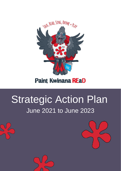

# **Paint Kwinana REaD**

# Strategic Action Plan June 2021 to June 2023



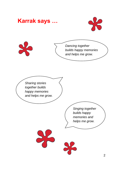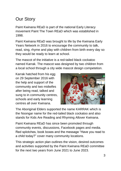# Our Story

Paint Kwinana REaD is part of the national Early Literacy movement Paint The Town REaD which was established in 1998.

Paint Kwinana REaD was brought to life by the Kwinana Early Years Network in 2016 to encourage the community to talk, read, sing, rhyme and play with children from birth every day so they would be ready to learn at school.

The mascot of the initiative is a red-tailed black cockatoo named Karrak. The mascot was designed by two children from a local school through a city wide mascot design competetion.

Karrak hatched from his egg on 29 September 2016 with the help and support of the community and two midwifes after being read, talked and sung to in community centres, schools and early learning centres all over Kwinana.



The Aboriginal Elders supported the name KARRAK which is the Noongar name for the red-tailed black cockatoo and also stands for Kids Are Reading and Rhyming Allover Kwinana.

Paint Kwinana REaD has since been promoted through community events, discussions, Facebook pages and media. Red splotches, book boxes and the message "Have you read to a child today?" cover many community locations.

This strategic action plan outlines the vision, desired outcomes and activities supported by the Paint Kwinana REaD committee for the next two years from June 2021 to June 2023.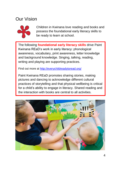## Our Vision



Children in Kwinana love reading and books and possess the foundational early literacy skills to be ready to learn at school.

The following **foundational early literacy skills** drive Paint Kwinana REaD's work in early literacy: phonological awareness, vocabulary, print awareness, letter knowledge and background knowledge. Singing, talking, reading, writing and playing are supporting practices.

Find out more at<http://everychildreadytoread.org/>

Paint Kwinana REaD promotes sharing stories, making pictures and dancing to acknowledge different cultural practices of storytelling and that physical wellbeing is critical for a child's ability to engage in literacy. Shared reading and the interaction with books are central to all activities.

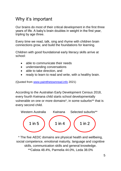### Why it's important

Our brains do most of their critical development in the first three years of life. A baby's brain doubles in weight in the first year, tripling by age three.

Every time we read, talk, sing and rhyme with children brain connections grow, and build the foundations for learning.

Children with good foundational early literacy skills arrive at school:

- able to communicate their needs
- understanding conversations
- able to take direction, and
- ready to learn to read and write, with a healthy brain.

(Quoted from [www.paintthetownread.info](http://www.paintthetownread.info/) 2021)

According to the Australian Early Development Census 2018, every fourth Kwinana child starts school developmentally vulnerable on one or more domains\*, in some suburbs\*\* that is every second child.



\* The five AEDC domains are physical health and wellbeing, social competence, emotional maturity, language and cognitive skills, communication skills and general knowledge. \*\*Calista 48.4%, Parmelia 44.0%, Leda 38.0%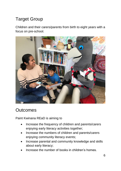# Target Group

Children and their carers/parents from birth to eight years with a focus on pre-school.



### **Outcomes**

Paint Kwinana REaD is aiming to

- Increase the frequency of children and parents/carers enjoying early literacy activities together;
- Increase the numbers of children and parents/carers enjoying community literacy events;
- Increase parental and community knowledge and skills about early literacy;
- Increase the number of books in children's homes.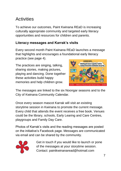# **Activities**

To achieve our outcomes, Paint Kwinana REaD is increasing culturally appropriate community and targeted early literacy opportunities and resources for children and parents.

#### **Literacy messages and Karrak's visits**

Every second month Paint Kwinana REaD launches a message that highlights and encourages a foundational early literacy practice (see page 4).

The practices are singing, talking, sharing stories, making pictures, playing and dancing. Done together these activities build happy memories and help children grow.



The messages are linked to the six Noongar seasons and to the City of Kwinana Community Calendar.

Once every season mascot Karrak will visit an existing storytime session in Kwinana to promote the current message. Every child that attends the event receives a free book. Venues could be the library, schools, Early Learing and Care Centres, playgroups and Family Day Care.

Photos of Karrak's visits and the reading messages are posted on the initiative's Facebook page. Messages are communicated via email and can be shared by the community.



Get in touch if you would like to launch or pone of the messages at your storytime session. Contact: paintkwinanaread@hotmail.com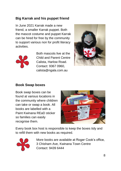#### **Big Karrak and his puppet friend**

In June 2021 Karrak made a new friend, a smaller Karrak puppet. Both the mascot costume and puppet Karrak can be hired for free by the community to support various non for profit literacy activities.



Both mascots live at the Child and Parent Centre Calista, Harlow Road. Contact: 9367 0960, calista@ngala.com.au



#### **Book Swap boxes**

Book swap boxes can be found at various locations in the community where children can take or swap a book. All books are labelled with a Paint Kwinana REaD sticker so families can easily recognise them.



Every book box host is responsible to keep the boxes tidy and to refill them with new books as required.



More books are available at Roger Cook's office, 3 Chisham Ave, Kwinana Town Centre Contact: 9439 6444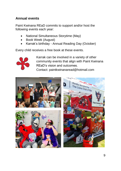#### **Annual events**

Paint Kwinana REaD commits to support and/or host the following events each year:

- National Simultaneous Storytime (May)
- Book Week (August)
- Karrak's birthday Annual Reading Day (October)

Every child receives a free book at these events.



Karrak can be involved in a variety of other community events that align with Paint Kwinana REaD's vision and outcomes.

Contact: paintkwinanaread@hotmail.com

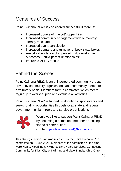# Measures of Success

Paint Kwinana REaD is considered successful if there is:

- Increased uptake of mascot/puppet hire;
- Increased community engagement with bi-monthly literacy messages;
- Increased event participation;
- Increased demand and turnover of book swap boxes;
- Anecdotal evidence of improved child development outcomes & child-parent relationships;
- Improved AEDC results.

# Behind the Scenes

Paint Kwinana REaD is an unincorporated community group, driven by community organisations and community members on a voluntary basis. Members form a committee which meets regularly to oversee, plan and evaluate all activities.

Paint Kwinana REaD is funded by donations, sponsorship and seeks funding opportunities through local, state and federal government, philanthropic and service organisations.



Would you like to support Paint Kwinana REaD by becoming a committee member or making a financial contribution? Contact: [paintkwinanaread@hotmail.com](mailto:paintkwinanaread@hotmail.com)

This strategic action plan was released by the Paint Kwinana REaD committee on 8 June 2021. Members of the committee at the time were Ngala, Meerilinga, Kwinana Early Years Services, Connecting Community for Kids, City of Kwinana and Little Bandits Child Care.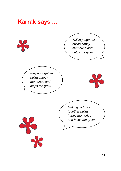